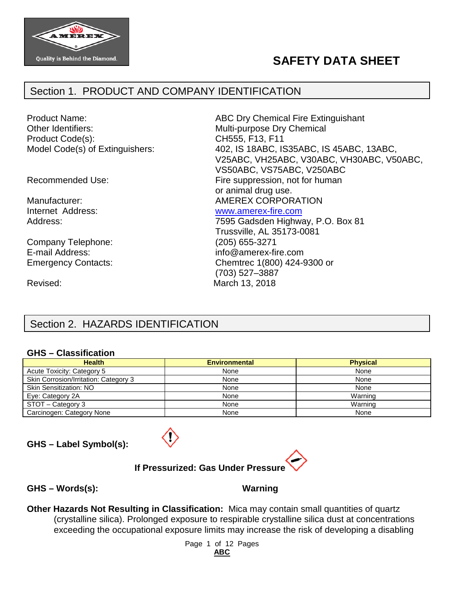

# **SAFETY DATA SHEET**

### Section 1. PRODUCT AND COMPANY IDENTIFICATION

Other Identifiers: Multi-purpose Dry Chemical Product Code(s): CH555, F13, F11

Company Telephone: (205) 655-3271<br>
E-mail Address: (and a linie of a linie mail Address: (and a linie mail Address: (and a linie mail of a linie m Emergency Contacts: Chemtrec 1(800) 424-9300 or

Revised: March 13, 2018

Product Name: ABC Dry Chemical Fire Extinguishant Model Code(s) of Extinguishers: 402, IS 18ABC, IS35ABC, IS45ABC, 13ABC, V25ABC, VH25ABC, V30ABC, VH30ABC, V50ABC, VS50ABC, VS75ABC, V250ABC Recommended Use: Fire suppression, not for human or animal drug use. Manufacturer:  $\blacksquare$  AMEREX CORPORATION Internet Address: [www.amerex-fire.com](http://www.amerex-fire.com/) Address: Mathematic Mathematic Metal Contract 7595 Gadsden Highway, P.O. Box 81 Trussville, AL 35173-0081  $info@amerex-free.com$ 

(703) 527–3887

## Section 2. HAZARDS IDENTIFICATION

#### **GHS – Classification**

| <b>Health</b>                         | <b>Environmental</b> | <b>Physical</b> |
|---------------------------------------|----------------------|-----------------|
| Acute Toxicity: Category 5            | None                 | None            |
| Skin Corrosion/Irritation: Category 3 | None                 | None            |
| <b>Skin Sensitization: NO</b>         | None                 | None            |
| Eye: Category 2A                      | None                 | Warning         |
| STOT - Category 3                     | None                 | Warning         |
| Carcinogen: Category None             | None                 | None            |

**GHS – Label Symbol(s):**



**If Pressurized: Gas Under Pressure**

**GHS – Words(s): Warning**

**Other Hazards Not Resulting in Classification:** Mica may contain small quantities of quartz (crystalline silica). Prolonged exposure to respirable crystalline silica dust at concentrations exceeding the occupational exposure limits may increase the risk of developing a disabling

> Page 1 of 12 Pages **ABC**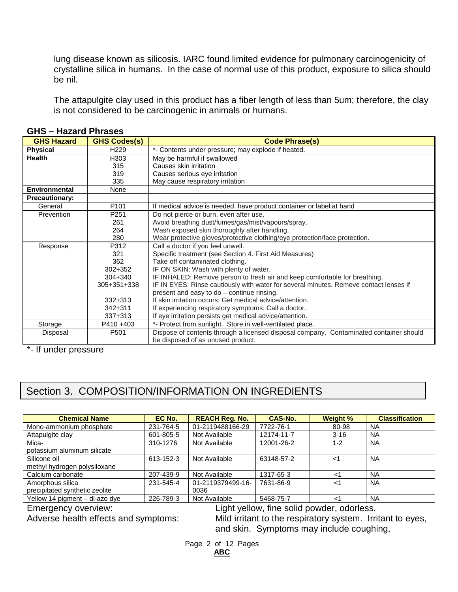lung disease known as silicosis. IARC found limited evidence for pulmonary carcinogenicity of crystalline silica in humans. In the case of normal use of this product, exposure to silica should be nil.

The attapulgite clay used in this product has a fiber length of less than 5um; therefore, the clay is not considered to be carcinogenic in animals or humans.

| <b>GHS Hazard</b>     | <b>GHS Codes(s)</b> | <b>Code Phrase(s)</b>                                                                  |
|-----------------------|---------------------|----------------------------------------------------------------------------------------|
| <b>Physical</b>       | H <sub>229</sub>    | *- Contents under pressure; may explode if heated.                                     |
| <b>Health</b>         | H <sub>303</sub>    | May be harmful if swallowed                                                            |
|                       | 315                 | Causes skin irritation                                                                 |
|                       | 319                 | Causes serious eye irritation                                                          |
|                       | 335                 | May cause respiratory irritation                                                       |
| <b>Environmental</b>  | None                |                                                                                        |
| <b>Precautionary:</b> |                     |                                                                                        |
| General               | P <sub>101</sub>    | If medical advice is needed, have product container or label at hand                   |
| Prevention            | P <sub>251</sub>    | Do not pierce or burn, even after use.                                                 |
|                       | 261                 | Avoid breathing dust/fumes/gas/mist/vapours/spray.                                     |
|                       | 264                 | Wash exposed skin thoroughly after handling.                                           |
|                       | 280                 | Wear protective gloves/protective clothing/eye protection/face protection.             |
| Response              | P312                | Call a doctor if you feel unwell.                                                      |
|                       | 321                 | Specific treatment (see Section 4. First Aid Measures)                                 |
|                       | 362                 | Take off contaminated clothing.                                                        |
|                       | $302 + 352$         | IF ON SKIN: Wash with plenty of water.                                                 |
|                       | $304 + 340$         | IF INHALED: Remove person to fresh air and keep comfortable for breathing.             |
|                       | $305 + 351 + 338$   | IF IN EYES: Rinse cautiously with water for several minutes. Remove contact lenses if  |
|                       |                     | present and easy to do - continue rinsing.                                             |
|                       | $332 + 313$         | If skin irritation occurs: Get medical advice/attention.                               |
|                       | $342 + 311$         | If experiencing respiratory symptoms: Call a doctor.                                   |
|                       | $337+313$           | If eye irritation persists get medical advice/attention.                               |
| Storage               | P410+403            | *- Protect from sunlight. Store in well-ventilated place.                              |
| Disposal              | P501                | Dispose of contents through a licensed disposal company. Contaminated container should |
|                       |                     | be disposed of as unused product.                                                      |

**GHS – Hazard Phrases**

\*- If under pressure

# Section 3. COMPOSITION/INFORMATION ON INGREDIENTS

| <b>Chemical Name</b>           | EC No.    | <b>REACH Reg. No.</b> | <b>CAS-No.</b> | <b>Weight %</b> | <b>Classification</b> |
|--------------------------------|-----------|-----------------------|----------------|-----------------|-----------------------|
| Mono-ammonium phosphate        | 231-764-5 | 01-2119488166-29      | 7722-76-1      | 80-98           | <b>NA</b>             |
| Attapulgite clay               | 601-805-5 | Not Available         | 12174-11-7     | $3 - 16$        | <b>NA</b>             |
| Mica-                          | 310-1276  | Not Available         | 12001-26-2     | $1 - 2$         | <b>NA</b>             |
| potassium aluminum silicate    |           |                       |                |                 |                       |
| Silicone oil                   | 613-152-3 | Not Available         | 63148-57-2     | ا>              | <b>NA</b>             |
| methyl hydrogen polysiloxane   |           |                       |                |                 |                       |
| Calcium carbonate              | 207-439-9 | Not Available         | 1317-65-3      | 1>              | <b>NA</b>             |
| Amorphous silica               | 231-545-4 | 01-2119379499-16-     | 7631-86-9      | $<$ 1           | <b>NA</b>             |
| precipitated synthetic zeolite |           | 0036                  |                |                 |                       |
| Yellow 14 pigment - di-azo dye | 226-789-3 | Not Available         | 5468-75-7      | ا>              | <b>NA</b>             |

Emergency overview:<br>
Light yellow, fine solid powder, odorless.<br>
Adverse health effects and symptoms:<br>
Mild irritant to the respiratory system. Irri

Mild irritant to the respiratory system. Irritant to eyes, and skin. Symptoms may include coughing,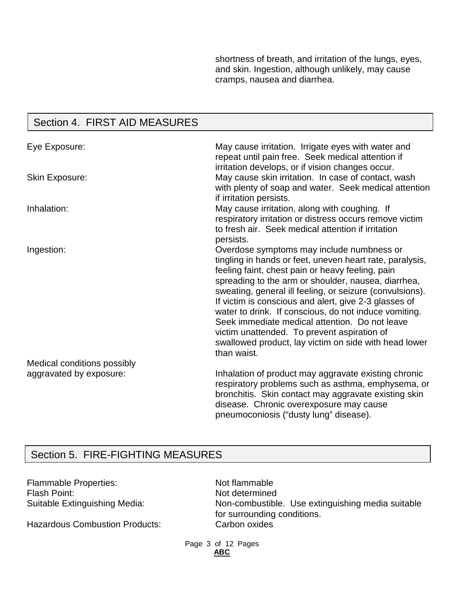shortness of breath, and irritation of the lungs, eyes, and skin. Ingestion, although unlikely, may cause cramps, nausea and diarrhea.

## Section 4. FIRST AID MEASURES

| Eye Exposure:               | May cause irritation. Irrigate eyes with water and<br>repeat until pain free. Seek medical attention if<br>irritation develops, or if vision changes occur.                                                                                                                                                                                                                                                                                                                                                                                                             |
|-----------------------------|-------------------------------------------------------------------------------------------------------------------------------------------------------------------------------------------------------------------------------------------------------------------------------------------------------------------------------------------------------------------------------------------------------------------------------------------------------------------------------------------------------------------------------------------------------------------------|
| <b>Skin Exposure:</b>       | May cause skin irritation. In case of contact, wash<br>with plenty of soap and water. Seek medical attention<br>if irritation persists.                                                                                                                                                                                                                                                                                                                                                                                                                                 |
| Inhalation:                 | May cause irritation, along with coughing. If<br>respiratory irritation or distress occurs remove victim<br>to fresh air. Seek medical attention if irritation<br>persists.                                                                                                                                                                                                                                                                                                                                                                                             |
| Ingestion:                  | Overdose symptoms may include numbness or<br>tingling in hands or feet, uneven heart rate, paralysis,<br>feeling faint, chest pain or heavy feeling, pain<br>spreading to the arm or shoulder, nausea, diarrhea,<br>sweating, general ill feeling, or seizure (convulsions).<br>If victim is conscious and alert, give 2-3 glasses of<br>water to drink. If conscious, do not induce vomiting.<br>Seek immediate medical attention. Do not leave<br>victim unattended. To prevent aspiration of<br>swallowed product, lay victim on side with head lower<br>than waist. |
| Medical conditions possibly |                                                                                                                                                                                                                                                                                                                                                                                                                                                                                                                                                                         |
| aggravated by exposure:     | Inhalation of product may aggravate existing chronic<br>respiratory problems such as asthma, emphysema, or<br>bronchitis. Skin contact may aggravate existing skin<br>disease. Chronic overexposure may cause<br>pneumoconiosis ("dusty lung" disease).                                                                                                                                                                                                                                                                                                                 |

### Section 5. FIRE-FIGHTING MEASURES

Flammable Properties:<br>
Flash Point: Not determined Flash Point:<br>
Suitable Extinguishing Media: Non-combustible

Hazardous Combustion Products:

Non-combustible. Use extinguishing media suitable for surrounding conditions.<br>Carbon oxides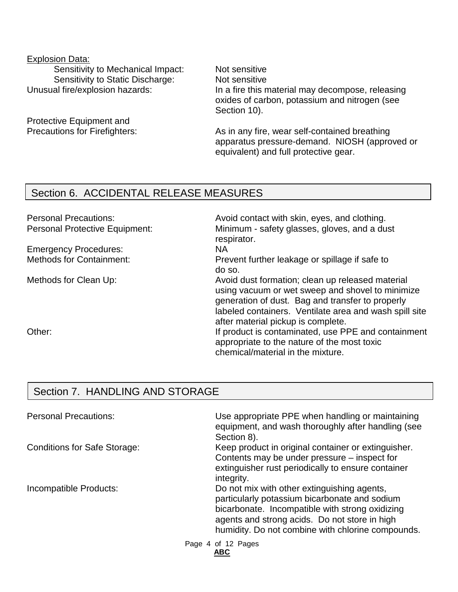# Explosion Data: Sensitivity to Mechanical Impact: Not sensitive Sensitivity to Static Discharge: Not sensitive

Protective Equipment and

Unusual fire/explosion hazards: In a fire this material may decompose, releasing oxides of carbon, potassium and nitrogen (see Section 10).

Precautions for Firefighters: As in any fire, wear self-contained breathing apparatus pressure-demand. NIOSH (approved or equivalent) and full protective gear.

### Section 6. ACCIDENTAL RELEASE MEASURES

Personal Precautions: example and avoid contact with skin, eyes, and clothing. Personal Protective Equipment: Minimum - safety glasses, gloves, and a dust respirator. Emergency Procedures: NA Methods for Containment: Prevent further leakage or spillage if safe to do so. Methods for Clean Up: Methods for Clean Up: Avoid dust formation; clean up released material using vacuum or wet sweep and shovel to minimize generation of dust. Bag and transfer to properly labeled containers. Ventilate area and wash spill site after material pickup is complete. Other: If product is contaminated, use PPE and containment appropriate to the nature of the most toxic chemical/material in the mixture.

### Section 7. HANDLING AND STORAGE

| <b>Personal Precautions:</b>        | Use appropriate PPE when handling or maintaining<br>equipment, and wash thoroughly after handling (see<br>Section 8).                                                                                                                                 |
|-------------------------------------|-------------------------------------------------------------------------------------------------------------------------------------------------------------------------------------------------------------------------------------------------------|
| <b>Conditions for Safe Storage:</b> | Keep product in original container or extinguisher.<br>Contents may be under pressure – inspect for<br>extinguisher rust periodically to ensure container<br>integrity.                                                                               |
| Incompatible Products:              | Do not mix with other extinguishing agents,<br>particularly potassium bicarbonate and sodium<br>bicarbonate. Incompatible with strong oxidizing<br>agents and strong acids. Do not store in high<br>humidity. Do not combine with chlorine compounds. |
|                                     | Page 4 of 12 Pages<br><b>ABC</b>                                                                                                                                                                                                                      |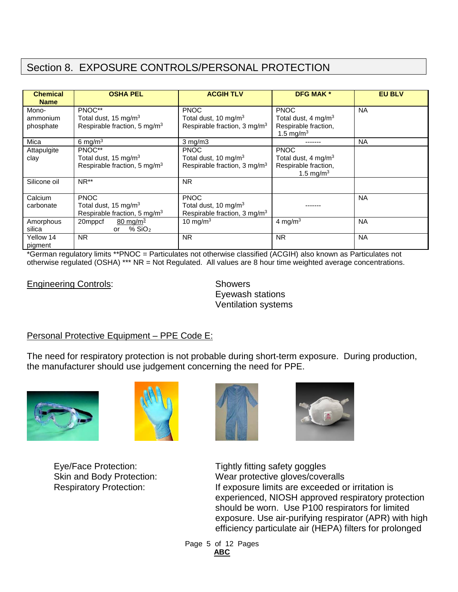## Section 8. EXPOSURE CONTROLS/PERSONAL PROTECTION

| <b>Chemical</b> | <b>OSHA PEL</b>                          | <b>ACGIH TLV</b>                         | <b>DFG MAK *</b>                | <b>EU BLV</b> |
|-----------------|------------------------------------------|------------------------------------------|---------------------------------|---------------|
| <b>Name</b>     |                                          |                                          |                                 |               |
| Mono-           | PNOC**                                   | <b>PNOC</b>                              | <b>PNOC</b>                     | <b>NA</b>     |
| ammonium        | Total dust, 15 mg/m <sup>3</sup>         | Total dust, 10 mg/m <sup>3</sup>         | Total dust, 4 mg/m <sup>3</sup> |               |
| phosphate       | Respirable fraction, 5 mg/m <sup>3</sup> | Respirable fraction, 3 mg/m <sup>3</sup> | Respirable fraction,            |               |
|                 |                                          |                                          | 1.5 mg/ $m3$                    |               |
| Mica            | 6 mg/m $3$                               | $3$ mg/m $3$                             |                                 | <b>NA</b>     |
| Attapulgite     | PNOC**                                   | <b>PNOC</b>                              | <b>PNOC</b>                     |               |
| clay            | Total dust, 15 mg/m <sup>3</sup>         | Total dust, 10 mg/m <sup>3</sup>         | Total dust, 4 mg/m <sup>3</sup> |               |
|                 | Respirable fraction, 5 mg/m <sup>3</sup> | Respirable fraction, 3 mg/m <sup>3</sup> | Respirable fraction,            |               |
|                 |                                          |                                          | 1.5 mg/m <sup>3</sup>           |               |
| Silicone oil    | $NR**$                                   | <b>NR</b>                                |                                 |               |
|                 |                                          |                                          |                                 |               |
| Calcium         | <b>PNOC</b>                              | <b>PNOC</b>                              |                                 | <b>NA</b>     |
| carbonate       | Total dust, 15 mg/m <sup>3</sup>         | Total dust, 10 mg/m <sup>3</sup>         |                                 |               |
|                 | Respirable fraction, 5 mg/m <sup>3</sup> | Respirable fraction, 3 mg/m <sup>3</sup> |                                 |               |
| Amorphous       | 80 mg/m $^3$<br>20mppcf                  | 10 mg/m $3$                              | 4 mg/m <sup>3</sup>             | <b>NA</b>     |
| silica          | $%$ SiO <sub>2</sub><br>or               |                                          |                                 |               |
| Yellow 14       | <b>NR</b>                                | <b>NR</b>                                | <b>NR</b>                       | <b>NA</b>     |
| pigment         |                                          |                                          |                                 |               |

\*German regulatory limits \*\*PNOC = Particulates not otherwise classified (ACGIH) also known as Particulates not otherwise regulated (OSHA) \*\*\* NR = Not Regulated. All values are 8 hour time weighted average concentrations.

Engineering Controls: Showers

Eyewash stations Ventilation systems

### Personal Protective Equipment – PPE Code E:

The need for respiratory protection is not probable during short-term exposure. During production, the manufacturer should use judgement concerning the need for PPE.









Eye/Face Protection: Tightly fitting safety goggles Skin and Body Protection: Wear protective gloves/coveralls Respiratory Protection: If exposure limits are exceeded or irritation is experienced, NIOSH approved respiratory protection should be worn. Use P100 respirators for limited exposure. Use air-purifying respirator (APR) with high efficiency particulate air (HEPA) filters for prolonged

> Page 5 of 12 Pages **ABC**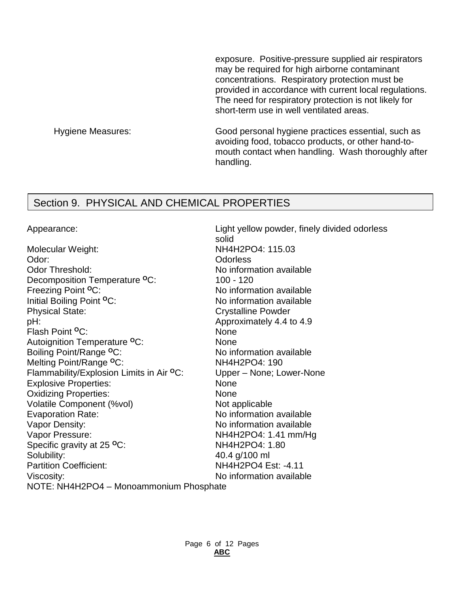exposure. Positive-pressure supplied air respirators may be required for high airborne contaminant concentrations. Respiratory protection must be provided in accordance with current local regulations. The need for respiratory protection is not likely for short-term use in well ventilated areas.

Hygiene Measures: Good personal hygiene practices essential, such as avoiding food, tobacco products, or other hand-tomouth contact when handling. Wash thoroughly after handling.

### Section 9. PHYSICAL AND CHEMICAL PROPERTIES

Appearance: Light yellow powder, finely divided odorless

solid Molecular Weight: NH4H2PO4: 115.03 Odor: Odorless Odor Threshold: No information available Decomposition Temperature <sup>o</sup>C: 100 - 120<br>Freezing Point <sup>o</sup>C: No inform Freezing Point <sup>o</sup>C: No information available<br>Thitial Boiling Point <sup>o</sup>C: No information available No information available Physical State: Crystalline Powder pH:  $\blacksquare$ Flash Point **<sup>O</sup>**C: None Autoignition Temperature **<sup>O</sup>**C: None Boiling Point/Range <sup>o</sup>C: No information available Melting Point/Range <sup>o</sup>C: NH4H2PO4: 190 Flammability/Explosion Limits in Air <sup>o</sup>C: Upper – None; Lower-None<br>Explosive Properties: **None** None **Explosive Properties:** Oxidizing Properties: None Volatile Component (%vol) Mot applicable<br>
Evaporation Rate: No information No information available Vapor Density: Vapor Density: Vapor Pressure:  $NHAH2PO4: 1.41 mm/Hg$ Specific gravity at 25 <sup>o</sup>C: NH4H2PO4: 1.80 Solubility: 40.4 g/100 ml Partition Coefficient: NH4H2PO4 Est: -4.11 Viscosity: No information available NOTE: NH4H2PO4 – Monoammonium Phosphate

> Page 6 of 12 Pages **ABC**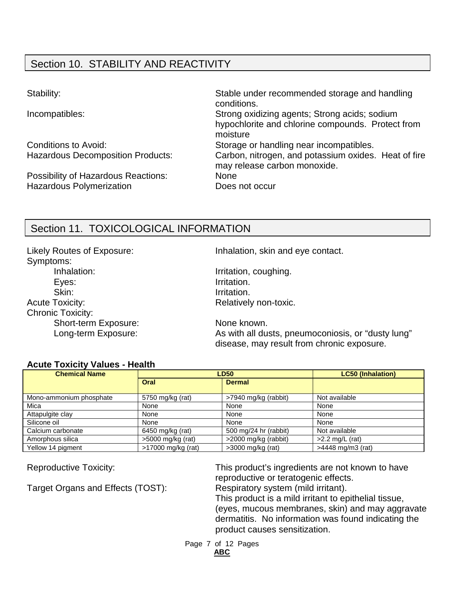# Section 10. STABILITY AND REACTIVITY

Possibility of Hazardous Reactions: None Hazardous Polymerization **Example 20 Figure 10** Does not occur

Stability: Stable under recommended storage and handling conditions. Incompatibles: Strong oxidizing agents; Strong acids; sodium hypochlorite and chlorine compounds. Protect from moisture Conditions to Avoid: Storage or handling near incompatibles. Hazardous Decomposition Products: Carbon, nitrogen, and potassium oxides. Heat of fire may release carbon monoxide.

### Section 11. TOXICOLOGICAL INFORMATION

Symptoms: Inhalation: Inhalation: Inhalation, coughing. Eyes: The Contraction of the Irritation. Skin: Irritation. Acute Toxicity: Acute Toxicity: Acute Toxicity: Chronic Toxicity: Short-term Exposure: None known.

Likely Routes of Exposure: Inhalation, skin and eye contact.

Long-term Exposure: As with all dusts, pneumoconiosis, or "dusty lung" disease, may result from chronic exposure.

#### **Acute Toxicity Values - Health**

| <b>Chemical Name</b>    | <b>LD50</b>         |                       | <b>LC50 (Inhalation)</b> |
|-------------------------|---------------------|-----------------------|--------------------------|
|                         | Oral                | <b>Dermal</b>         |                          |
| Mono-ammonium phosphate | 5750 mg/kg (rat)    | >7940 mg/kg (rabbit)  | Not available            |
| Mica                    | None                | None                  | None                     |
| Attapulgite clay        | None                | None                  | None                     |
| Silicone oil            | None                | None                  | None                     |
| Calcium carbonate       | 6450 mg/kg (rat)    | 500 mg/24 hr (rabbit) | Not available            |
| Amorphous silica        | $>5000$ mg/kg (rat) | >2000 mg/kg (rabbit)  | $>2.2$ mg/L (rat)        |
| Yellow 14 pigment       | >17000 mg/kg (rat)  | $>3000$ mg/kg (rat)   | >4448 mg/m3 (rat)        |

Target Organs and Effects (TOST): Respiratory system (mild irritant).

Reproductive Toxicity: This product's ingredients are not known to have reproductive or teratogenic effects.

This product is a mild irritant to epithelial tissue, (eyes, mucous membranes, skin) and may aggravate dermatitis. No information was found indicating the product causes sensitization.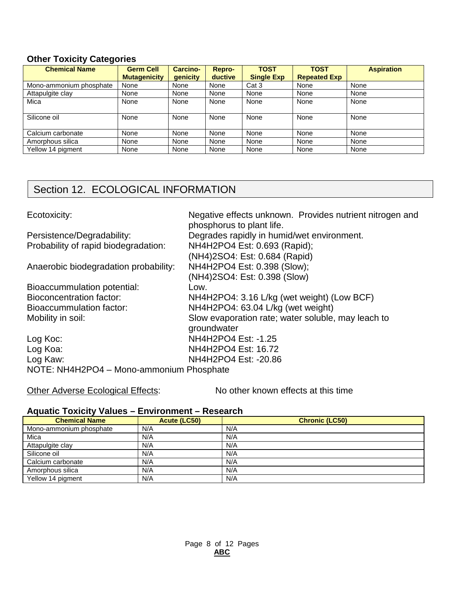### **Other Toxicity Categories**

| <b>Chemical Name</b>    | <b>Germ Cell</b>    | <b>Carcino-</b> | <b>Repro-</b> | <b>TOST</b>       | <b>TOST</b>         | <b>Aspiration</b> |
|-------------------------|---------------------|-----------------|---------------|-------------------|---------------------|-------------------|
|                         | <b>Mutagenicity</b> | <b>genicity</b> | ductive       | <b>Single Exp</b> | <b>Repeated Exp</b> |                   |
| Mono-ammonium phosphate | None                | None            | None          | Cat 3             | None                | None              |
| Attapulgite clay        | None                | None            | None          | None              | None                | None              |
| Mica                    | None                | None            | None          | None              | None                | None              |
|                         |                     |                 |               |                   |                     |                   |
| Silicone oil            | None                | None            | None          | None              | None                | None              |
|                         |                     |                 |               |                   |                     |                   |
| Calcium carbonate       | None                | None            | None          | None              | None                | None              |
| Amorphous silica        | None                | None            | None          | None              | None                | None              |
| Yellow 14 pigment       | None                | None            | None          | None              | None                | None              |

## Section 12. ECOLOGICAL INFORMATION

| Ecotoxicity:                             | Negative effects unknown. Provides nutrient nitrogen and |
|------------------------------------------|----------------------------------------------------------|
|                                          | phosphorus to plant life.                                |
| Persistence/Degradability:               | Degrades rapidly in humid/wet environment.               |
| Probability of rapid biodegradation:     | NH4H2PO4 Est: 0.693 (Rapid);                             |
|                                          | (NH4)2SO4: Est: 0.684 (Rapid)                            |
| Anaerobic biodegradation probability:    | NH4H2PO4 Est: 0.398 (Slow);                              |
|                                          | (NH4)2SO4: Est: 0.398 (Slow)                             |
| Bioaccummulation potential:              | Low.                                                     |
| <b>Bioconcentration factor:</b>          | NH4H2PO4: 3.16 L/kg (wet weight) (Low BCF)               |
| Bioaccummulation factor:                 | NH4H2PO4: 63.04 L/kg (wet weight)                        |
| Mobility in soil:                        | Slow evaporation rate; water soluble, may leach to       |
|                                          | groundwater                                              |
| Log Koc:                                 | NH4H2PO4 Est: -1.25                                      |
| Log Koa:                                 | NH4H2PO4 Est: 16.72                                      |
| Log Kaw:                                 | NH4H2PO4 Est: -20.86                                     |
| NOTE: NH4H2PO4 - Mono-ammonium Phosphate |                                                          |

Other Adverse Ecological Effects: No other known effects at this time

#### **Aquatic Toxicity Values – Environment – Research**

| <b>Chemical Name</b>    | Acute (LC50) | <b>Chronic (LC50)</b> |
|-------------------------|--------------|-----------------------|
| Mono-ammonium phosphate | N/A          | N/A                   |
| Mica                    | N/A          | N/A                   |
| Attapulgite clay        | N/A          | N/A                   |
| Silicone oil            | N/A          | N/A                   |
| Calcium carbonate       | N/A          | N/A                   |
| Amorphous silica        | N/A          | N/A                   |
| Yellow 14 pigment       | N/A          | N/A                   |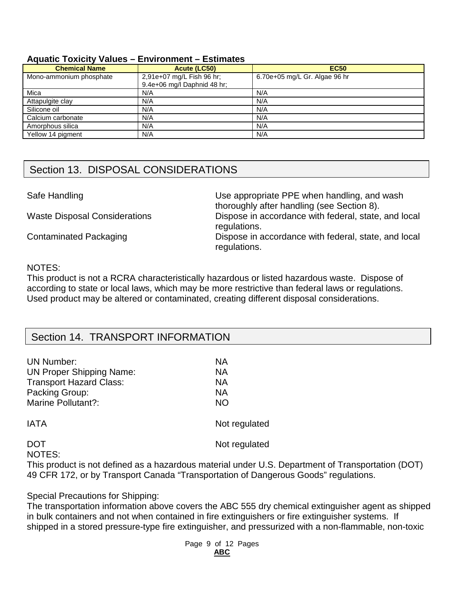#### **Aquatic Toxicity Values – Environment – Estimates**

| <b>Chemical Name</b>    | Acute (LC50)                                             | <b>EC50</b>                   |
|-------------------------|----------------------------------------------------------|-------------------------------|
| Mono-ammonium phosphate | 2,91e+07 mg/L Fish 96 hr;<br>9.4e+06 mg/l Daphnid 48 hr; | 6.70e+05 mg/L Gr. Algae 96 hr |
| Mica                    | N/A                                                      | N/A                           |
| Attapulgite clay        | N/A                                                      | N/A                           |
| Silicone oil            | N/A                                                      | N/A                           |
| Calcium carbonate       | N/A                                                      | N/A                           |
| Amorphous silica        | N/A                                                      | N/A                           |
| Yellow 14 pigment       | N/A                                                      | N/A                           |

### Section 13. DISPOSAL CONSIDERATIONS

Safe Handling **EXECUTE:** Use appropriate PPE when handling, and wash thoroughly after handling (see Section 8). Waste Disposal Considerations Dispose in accordance with federal, state, and local regulations. Contaminated Packaging **Dispose in accordance with federal, state, and local** regulations.

#### NOTES:

This product is not a RCRA characteristically hazardous or listed hazardous waste. Dispose of according to state or local laws, which may be more restrictive than federal laws or regulations. Used product may be altered or contaminated, creating different disposal considerations.

### Section 14. TRANSPORT INFORMATION

| UN Number:<br><b>UN Proper Shipping Name:</b><br><b>Transport Hazard Class:</b><br>Packing Group:<br>Marine Pollutant?: | NА<br>NА<br>NА<br>NА<br><b>NO</b> |
|-------------------------------------------------------------------------------------------------------------------------|-----------------------------------|
| IATA                                                                                                                    | Not regulated                     |
| <b>DOT</b><br>NOTES:                                                                                                    | Not regulated                     |

This product is not defined as a hazardous material under U.S. Department of Transportation (DOT) 49 CFR 172, or by Transport Canada "Transportation of Dangerous Goods" regulations.

Special Precautions for Shipping:

The transportation information above covers the ABC 555 dry chemical extinguisher agent as shipped in bulk containers and not when contained in fire extinguishers or fire extinguisher systems. If shipped in a stored pressure-type fire extinguisher, and pressurized with a non-flammable, non-toxic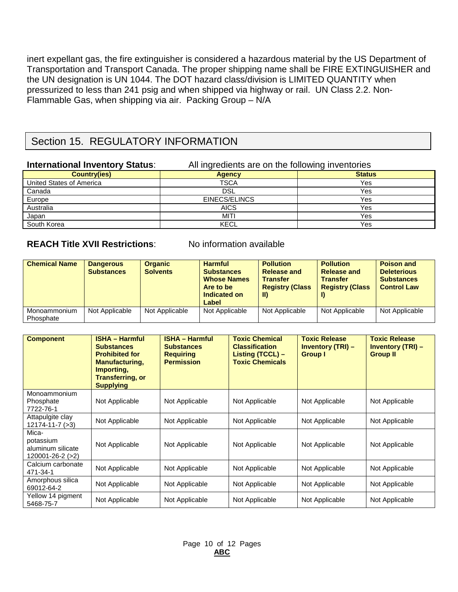inert expellant gas, the fire extinguisher is considered a hazardous material by the US Department of Transportation and Transport Canada. The proper shipping name shall be FIRE EXTINGUISHER and the UN designation is UN 1044. The DOT hazard class/division is LIMITED QUANTITY when pressurized to less than 241 psig and when shipped via highway or rail. UN Class 2.2. Non-Flammable Gas, when shipping via air. Packing Group – N/A

### Section 15. REGULATORY INFORMATION

| <b>International Inventory Status:</b> | All ingredients are on the following inventories |               |  |
|----------------------------------------|--------------------------------------------------|---------------|--|
| <b>Country(ies)</b>                    | <b>Agency</b>                                    | <b>Status</b> |  |
| United States of America               | TSCA                                             | Yes           |  |
| Canada                                 | DSL                                              | Yes           |  |
| Europe                                 | EINECS/ELINCS                                    | Yes           |  |
| Australia                              | <b>AICS</b>                                      | Yes           |  |
| Japan                                  | MITI                                             | Yes           |  |
| South Korea                            | <b>KECL</b>                                      | Yes           |  |

### **REACH Title XVII Restrictions**: No information available

| <b>Chemical Name</b>      | <b>Dangerous</b><br><b>Substances</b> | <b>Organic</b><br><b>Solvents</b> | <b>Harmful</b><br><b>Substances</b><br><b>Whose Names</b><br>Are to be<br>Indicated on<br>Label | <b>Pollution</b><br><b>Release and</b><br><b>Transfer</b><br><b>Registry (Class</b><br>-II) | <b>Pollution</b><br><b>Release and</b><br><b>Transfer</b><br><b>Registry (Class</b> | <b>Poison and</b><br><b>Deleterious</b><br><b>Substances</b><br><b>Control Law</b> |
|---------------------------|---------------------------------------|-----------------------------------|-------------------------------------------------------------------------------------------------|---------------------------------------------------------------------------------------------|-------------------------------------------------------------------------------------|------------------------------------------------------------------------------------|
| Monoammonium<br>Phosphate | Not Applicable                        | Not Applicable                    | Not Applicable                                                                                  | Not Applicable                                                                              | Not Applicable                                                                      | Not Applicable                                                                     |

| <b>Component</b>                                            | <b>ISHA - Harmful</b><br><b>Substances</b><br><b>Prohibited for</b><br><b>Manufacturing,</b><br>Importing,<br><b>Transferring, or</b><br><b>Supplying</b> | <b>ISHA - Harmful</b><br><b>Substances</b><br><b>Requiring</b><br><b>Permission</b> | <b>Toxic Chemical</b><br><b>Classification</b><br>Listing (TCCL) –<br><b>Toxic Chemicals</b> | <b>Toxic Release</b><br><b>Inventory (TRI) –</b><br><b>Group</b> I | <b>Toxic Release</b><br><b>Inventory (TRI) –</b><br><b>Group II</b> |
|-------------------------------------------------------------|-----------------------------------------------------------------------------------------------------------------------------------------------------------|-------------------------------------------------------------------------------------|----------------------------------------------------------------------------------------------|--------------------------------------------------------------------|---------------------------------------------------------------------|
| Monoammonium<br>Phosphate<br>7722-76-1                      | Not Applicable                                                                                                                                            | Not Applicable                                                                      | Not Applicable                                                                               | Not Applicable                                                     | Not Applicable                                                      |
| Attapulgite clay<br>12174-11-7 (>3)                         | Not Applicable                                                                                                                                            | Not Applicable                                                                      | Not Applicable                                                                               | Not Applicable                                                     | Not Applicable                                                      |
| Mica-<br>potassium<br>aluminum silicate<br>120001-26-2 (>2) | Not Applicable                                                                                                                                            | Not Applicable                                                                      | Not Applicable                                                                               | Not Applicable                                                     | Not Applicable                                                      |
| Calcium carbonate<br>471-34-1                               | Not Applicable                                                                                                                                            | Not Applicable                                                                      | Not Applicable                                                                               | Not Applicable                                                     | Not Applicable                                                      |
| Amorphous silica<br>69012-64-2                              | Not Applicable                                                                                                                                            | Not Applicable                                                                      | Not Applicable                                                                               | Not Applicable                                                     | Not Applicable                                                      |
| Yellow 14 pigment<br>5468-75-7                              | Not Applicable                                                                                                                                            | Not Applicable                                                                      | Not Applicable                                                                               | Not Applicable                                                     | Not Applicable                                                      |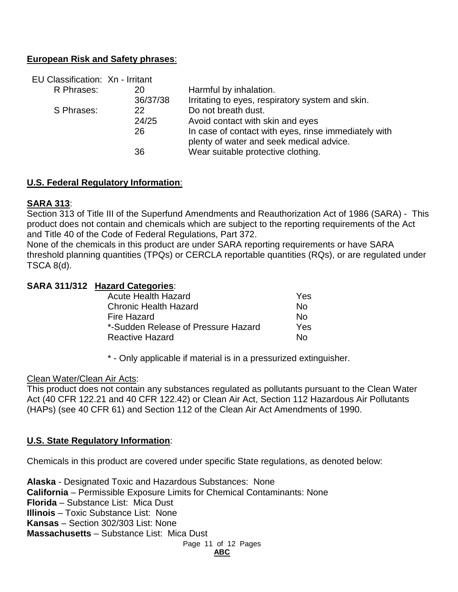#### **European Risk and Safety phrases**:

| EU Classification: Xn - Irritant |          |                                                                                                  |
|----------------------------------|----------|--------------------------------------------------------------------------------------------------|
| R Phrases:                       | 20       | Harmful by inhalation.                                                                           |
|                                  | 36/37/38 | Irritating to eyes, respiratory system and skin.                                                 |
| S Phrases:                       | 22       | Do not breath dust.                                                                              |
|                                  | 24/25    | Avoid contact with skin and eyes                                                                 |
|                                  | 26       | In case of contact with eyes, rinse immediately with<br>plenty of water and seek medical advice. |
|                                  | 36       | Wear suitable protective clothing.                                                               |

#### **U.S. Federal Regulatory Information**:

#### **SARA 313**:

Section 313 of Title III of the Superfund Amendments and Reauthorization Act of 1986 (SARA) - This product does not contain and chemicals which are subject to the reporting requirements of the Act and Title 40 of the Code of Federal Regulations, Part 372.

None of the chemicals in this product are under SARA reporting requirements or have SARA threshold planning quantities (TPQs) or CERCLA reportable quantities (RQs), or are regulated under TSCA 8(d).

#### **SARA 311/312 Hazard Categories**:

| <b>Acute Health Hazard</b>          | Yes. |
|-------------------------------------|------|
| <b>Chronic Health Hazard</b>        | N٥   |
| <b>Fire Hazard</b>                  | N٥   |
| *-Sudden Release of Pressure Hazard | Yes  |
| <b>Reactive Hazard</b>              | N٥   |

\* - Only applicable if material is in a pressurized extinguisher.

#### Clean Water/Clean Air Acts:

This product does not contain any substances regulated as pollutants pursuant to the Clean Water Act (40 CFR 122.21 and 40 CFR 122.42) or Clean Air Act, Section 112 Hazardous Air Pollutants (HAPs) (see 40 CFR 61) and Section 112 of the Clean Air Act Amendments of 1990.

**ABC**

#### **U.S. State Regulatory Information**:

Chemicals in this product are covered under specific State regulations, as denoted below:

Page 11 of 12 Pages **Alaska** - Designated Toxic and Hazardous Substances: None **California** – Permissible Exposure Limits for Chemical Contaminants: None **Florida** – Substance List: Mica Dust **Illinois** – Toxic Substance List: None **Kansas** – Section 302/303 List: None **Massachusetts** – Substance List: Mica Dust